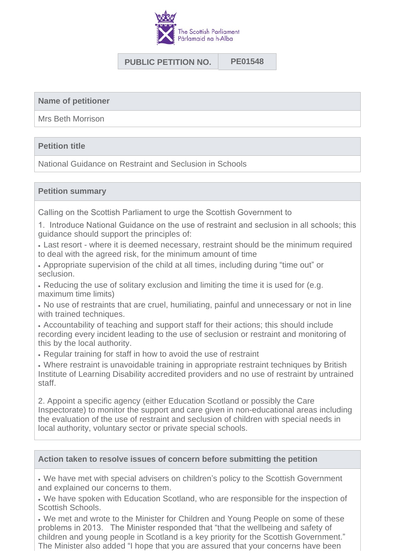

# **PUBLIC PETITION NO. PE01548**

**Name of petitioner**

Mrs Beth Morrison

## **Petition title**

National Guidance on Restraint and Seclusion in Schools

## **Petition summary**

Calling on the Scottish Parliament to urge the Scottish Government to

1. Introduce National Guidance on the use of restraint and seclusion in all schools; this guidance should support the principles of:

I Last resort - where it is deemed necessary, restraint should be the minimum required to deal with the agreed risk, for the minimum amount of time

• Appropriate supervision of the child at all times, including during "time out" or seclusion.

<sup>l</sup> Reducing the use of solitary exclusion and limiting the time it is used for (e.g. maximum time limits)

. No use of restraints that are cruel, humiliating, painful and unnecessary or not in line with trained techniques.

• Accountability of teaching and support staff for their actions; this should include recording every incident leading to the use of seclusion or restraint and monitoring of this by the local authority.

. Regular training for staff in how to avoid the use of restraint

• Where restraint is unavoidable training in appropriate restraint techniques by British Institute of Learning Disability accredited providers and no use of restraint by untrained staff.

2. Appoint a specific agency (either Education Scotland or possibly the Care Inspectorate) to monitor the support and care given in non-educational areas including the evaluation of the use of restraint and seclusion of children with special needs in local authority, voluntary sector or private special schools.

### **Action taken to resolve issues of concern before submitting the petition**

<sup>l</sup> We have met with special advisers on children's policy to the Scottish Government and explained our concerns to them.

. We have spoken with Education Scotland, who are responsible for the inspection of Scottish Schools.

. We met and wrote to the Minister for Children and Young People on some of these problems in 2013. The Minister responded that "that the wellbeing and safety of children and young people in Scotland is a key priority for the Scottish Government." The Minister also added "I hope that you are assured that your concerns have been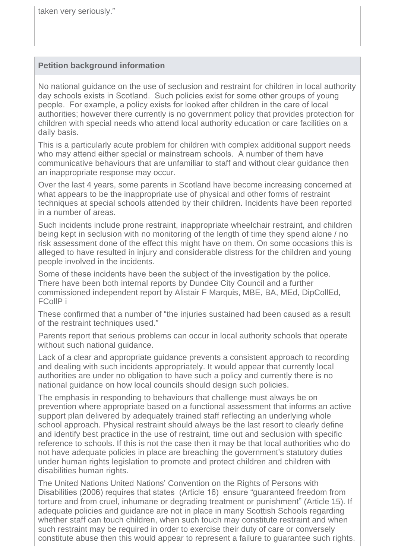## **Petition background information**

No national guidance on the use of seclusion and restraint for children in local authority day schools exists in Scotland. Such policies exist for some other groups of young people. For example, a policy exists for looked after children in the care of local authorities; however there currently is no government policy that provides protection for children with special needs who attend local authority education or care facilities on a daily basis.

This is a particularly acute problem for children with complex additional support needs who may attend either special or mainstream schools. A number of them have communicative behaviours that are unfamiliar to staff and without clear guidance then an inappropriate response may occur.

Over the last 4 years, some parents in Scotland have become increasing concerned at what appears to be the inappropriate use of physical and other forms of restraint techniques at special schools attended by their children. Incidents have been reported in a number of areas.

Such incidents include prone restraint, inappropriate wheelchair restraint, and children being kept in seclusion with no monitoring of the length of time they spend alone / no risk assessment done of the effect this might have on them. On some occasions this is alleged to have resulted in injury and considerable distress for the children and young people involved in the incidents.

Some of these incidents have been the subject of the investigation by the police. There have been both internal reports by Dundee City Council and a further commissioned independent report by Alistair F Marquis, MBE, BA, MEd, DipCollEd, FCollP i

These confirmed that a number of "the injuries sustained had been caused as a result of the restraint techniques used."

Parents report that serious problems can occur in local authority schools that operate without such national guidance.

Lack of a clear and appropriate guidance prevents a consistent approach to recording and dealing with such incidents appropriately. It would appear that currently local authorities are under no obligation to have such a policy and currently there is no national guidance on how local councils should design such policies.

The emphasis in responding to behaviours that challenge must always be on prevention where appropriate based on a functional assessment that informs an active support plan delivered by adequately trained staff reflecting an underlying whole school approach. Physical restraint should always be the last resort to clearly define and identify best practice in the use of restraint, time out and seclusion with specific reference to schools. If this is not the case then it may be that local authorities who do not have adequate policies in place are breaching the government's statutory duties under human rights legislation to promote and protect children and children with disabilities human rights.

The United Nations United Nations' Convention on the Rights of Persons with Disabilities (2006) requires that states (Article 16) ensure "guaranteed freedom from torture and from cruel, inhumane or degrading treatment or punishment" (Article 15). If adequate policies and guidance are not in place in many Scottish Schools regarding whether staff can touch children, when such touch may constitute restraint and when such restraint may be required in order to exercise their duty of care or conversely constitute abuse then this would appear to represent a failure to guarantee such rights.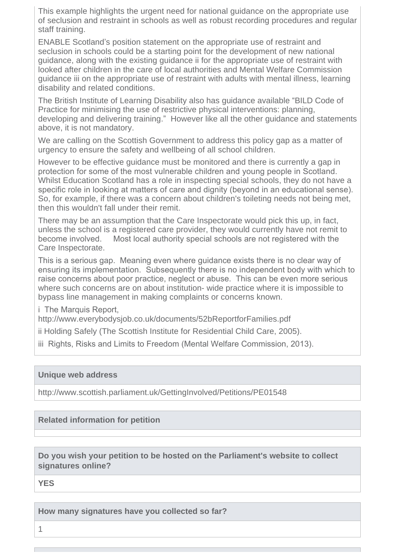This example highlights the urgent need for national guidance on the appropriate use of seclusion and restraint in schools as well as robust recording procedures and regular staff training.

ENABLE Scotland's position statement on the appropriate use of restraint and seclusion in schools could be a starting point for the development of new national guidance, along with the existing guidance ii for the appropriate use of restraint with looked after children in the care of local authorities and Mental Welfare Commission guidance iii on the appropriate use of restraint with adults with mental illness, learning disability and related conditions.

The British Institute of Learning Disability also has guidance available "BILD Code of Practice for minimising the use of restrictive physical interventions: planning, developing and delivering training." However like all the other guidance and statements above, it is not mandatory.

We are calling on the Scottish Government to address this policy gap as a matter of urgency to ensure the safety and wellbeing of all school children.

However to be effective guidance must be monitored and there is currently a gap in protection for some of the most vulnerable children and young people in Scotland. Whilst Education Scotland has a role in inspecting special schools, they do not have a specific role in looking at matters of care and dignity (beyond in an educational sense). So, for example, if there was a concern about children's toileting needs not being met, then this wouldn't fall under their remit.

There may be an assumption that the Care Inspectorate would pick this up, in fact, unless the school is a registered care provider, they would currently have not remit to become involved. Most local authority special schools are not registered with the Care Inspectorate.

This is a serious gap. Meaning even where guidance exists there is no clear way of ensuring its implementation. Subsequently there is no independent body with which to raise concerns about poor practice, neglect or abuse. This can be even more serious where such concerns are on about institution- wide practice where it is impossible to bypass line management in making complaints or concerns known.

i The Marquis Report.

http://www.everybodysjob.co.uk/documents/52bReportforFamilies.pdf

ii Holding Safely (The Scottish Institute for Residential Child Care, 2005).

iii Rights, Risks and Limits to Freedom (Mental Welfare Commission, 2013).

### **Unique web address**

http://www.scottish.parliament.uk/GettingInvolved/Petitions/PE01548

**Related information for petition**

**Do you wish your petition to be hosted on the Parliament's website to collect signatures online?**

**YES** 

**How many signatures have you collected so far?**